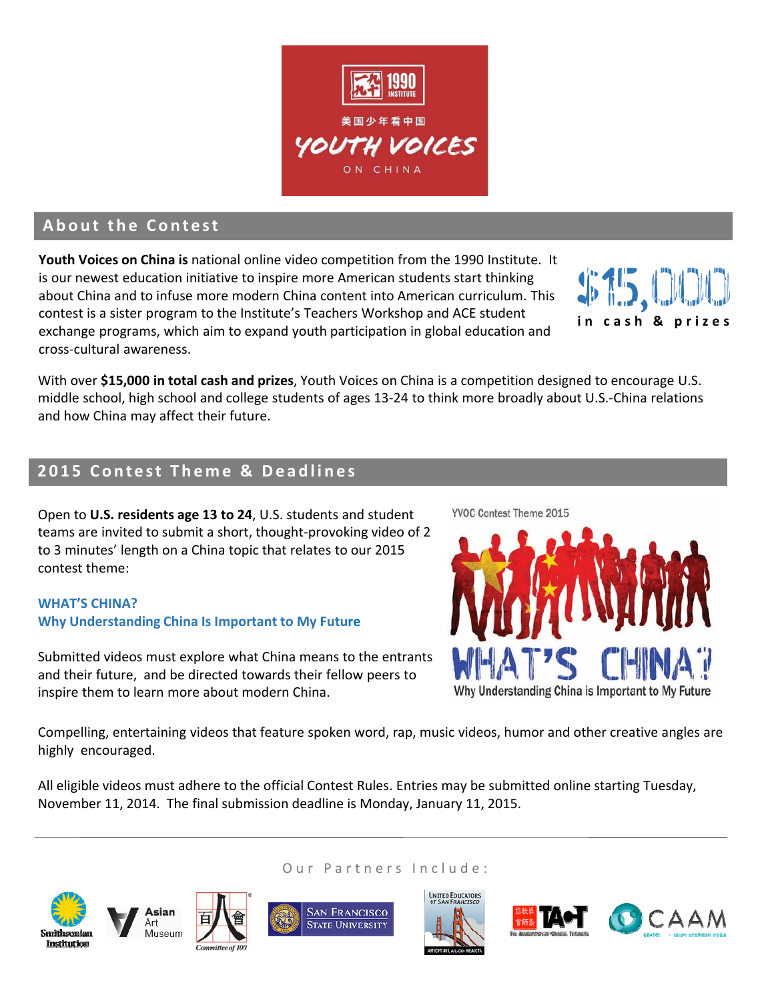

# **About the Contest**

**Youth Voices on China is** national online video competition from the 1990 Institute. It is our newest education initiative to inspire more American students start thinking about China and to infuse more modern China content into American curriculum. This contest is a sister program to the Institute's Teachers Workshop and ACE student exchange programs, which aim to expand youth participation in global education and cross‐cultural awareness.

With over **\$15,000 in total cash and prizes**, Youth Voices on China is a competition designed to encourage U.S. middle school, high school and college students of ages 13‐24 to think more broadly about U.S.‐China relations and how China may affect their future.

# **2015 Contest Theme & Deadlines**

Open to **U.S. residents age 13 to 24**, U.S. students and student teams are invited to submit a short, thought‐provoking video of 2 to 3 minutes' length on a China topic that relates to our 2015 contest theme:

#### **WHAT'S CHINA? Why Understanding China Is Important to My Future**

Submitted videos must explore what China means to the entrants and their future, and be directed towards their fellow peers to inspire them to learn more about modern China.

YVOC Contest Theme 2015



Compelling, entertaining videos that feature spoken word, rap, music videos, humor and other creative angles are highly encouraged.

Our Partners Include:

All eligible videos must adhere to the official Contest Rules. Entries may be submitted online starting Tuesday, November 11, 2014. The final submission deadline is Monday, January 11, 2015.













**i n cash & prizes**

\$15,000